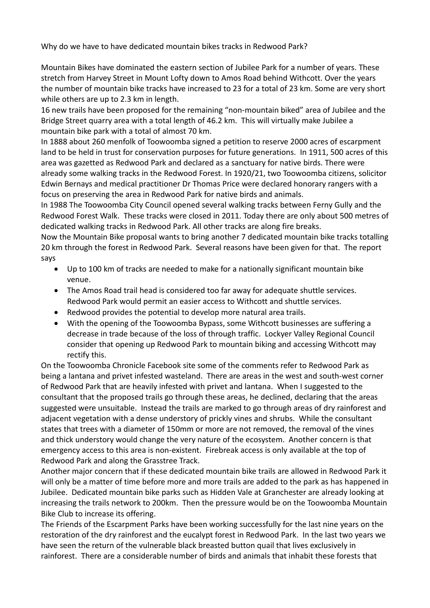Why do we have to have dedicated mountain bikes tracks in Redwood Park?

Mountain Bikes have dominated the eastern section of Jubilee Park for a number of years. These stretch from Harvey Street in Mount Lofty down to Amos Road behind Withcott. Over the years the number of mountain bike tracks have increased to 23 for a total of 23 km. Some are very short while others are up to 2.3 km in length.

16 new trails have been proposed for the remaining "non-mountain biked" area of Jubilee and the Bridge Street quarry area with a total length of 46.2 km. This will virtually make Jubilee a mountain bike park with a total of almost 70 km.

In 1888 about 260 menfolk of Toowoomba signed a petition to reserve 2000 acres of escarpment land to be held in trust for conservation purposes for future generations. In 1911, 500 acres of this area was gazetted as Redwood Park and declared as a sanctuary for native birds. There were already some walking tracks in the Redwood Forest. In 1920/21, two Toowoomba citizens, solicitor Edwin Bernays and medical practitioner Dr Thomas Price were declared honorary rangers with a focus on preserving the area in Redwood Park for native birds and animals.

In 1988 The Toowoomba City Council opened several walking tracks between Ferny Gully and the Redwood Forest Walk. These tracks were closed in 2011. Today there are only about 500 metres of dedicated walking tracks in Redwood Park. All other tracks are along fire breaks.

Now the Mountain Bike proposal wants to bring another 7 dedicated mountain bike tracks totalling 20 km through the forest in Redwood Park. Several reasons have been given for that. The report says

- Up to 100 km of tracks are needed to make for a nationally significant mountain bike venue.
- The Amos Road trail head is considered too far away for adequate shuttle services. Redwood Park would permit an easier access to Withcott and shuttle services.
- Redwood provides the potential to develop more natural area trails.
- With the opening of the Toowoomba Bypass, some Withcott businesses are suffering a decrease in trade because of the loss of through traffic. Lockyer Valley Regional Council consider that opening up Redwood Park to mountain biking and accessing Withcott may rectify this.

On the Toowoomba Chronicle Facebook site some of the comments refer to Redwood Park as being a lantana and privet infested wasteland. There are areas in the west and south-west corner of Redwood Park that are heavily infested with privet and lantana. When I suggested to the consultant that the proposed trails go through these areas, he declined, declaring that the areas suggested were unsuitable. Instead the trails are marked to go through areas of dry rainforest and adjacent vegetation with a dense understory of prickly vines and shrubs. While the consultant states that trees with a diameter of 150mm or more are not removed, the removal of the vines and thick understory would change the very nature of the ecosystem. Another concern is that emergency access to this area is non-existent. Firebreak access is only available at the top of Redwood Park and along the Grasstree Track.

Another major concern that if these dedicated mountain bike trails are allowed in Redwood Park it will only be a matter of time before more and more trails are added to the park as has happened in Jubilee. Dedicated mountain bike parks such as Hidden Vale at Granchester are already looking at increasing the trails network to 200km. Then the pressure would be on the Toowoomba Mountain Bike Club to increase its offering.

The Friends of the Escarpment Parks have been working successfully for the last nine years on the restoration of the dry rainforest and the eucalypt forest in Redwood Park. In the last two years we have seen the return of the vulnerable black breasted button quail that lives exclusively in rainforest. There are a considerable number of birds and animals that inhabit these forests that